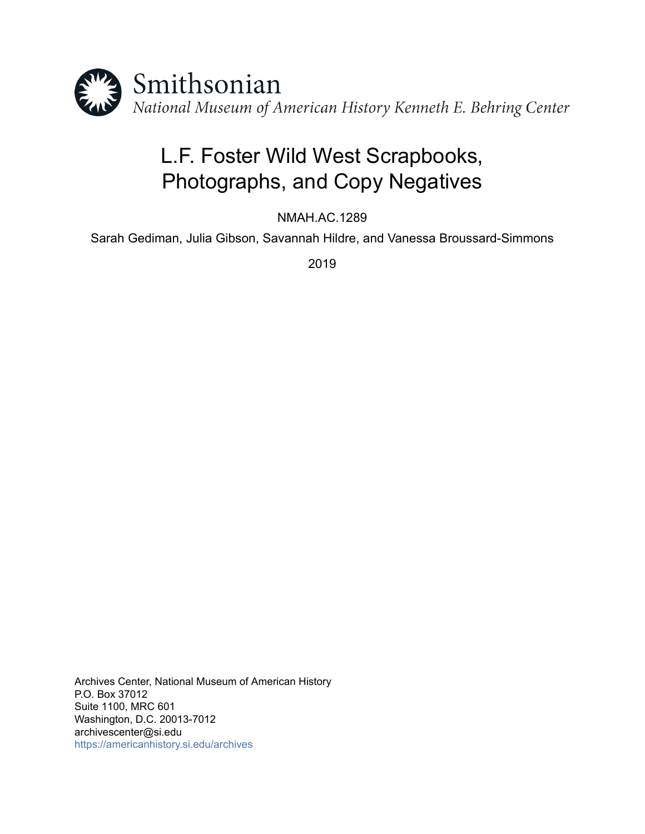

# L.F. Foster Wild West Scrapbooks, Photographs, and Copy Negatives

NMAH.AC.1289

Sarah Gediman, Julia Gibson, Savannah Hildre, and Vanessa Broussard-Simmons

2019

Archives Center, National Museum of American History P.O. Box 37012 Suite 1100, MRC 601 Washington, D.C. 20013-7012 archivescenter@si.edu <https://americanhistory.si.edu/archives>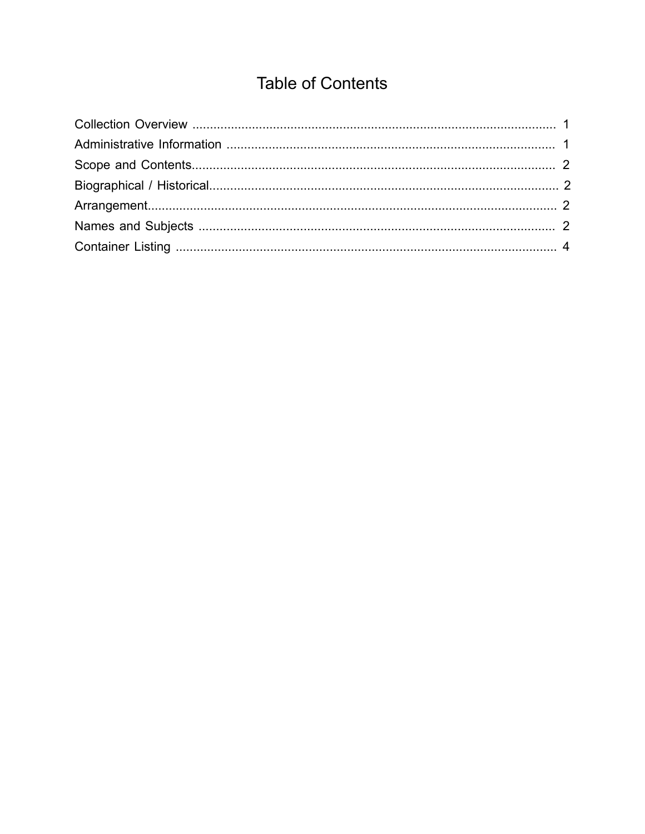## **Table of Contents**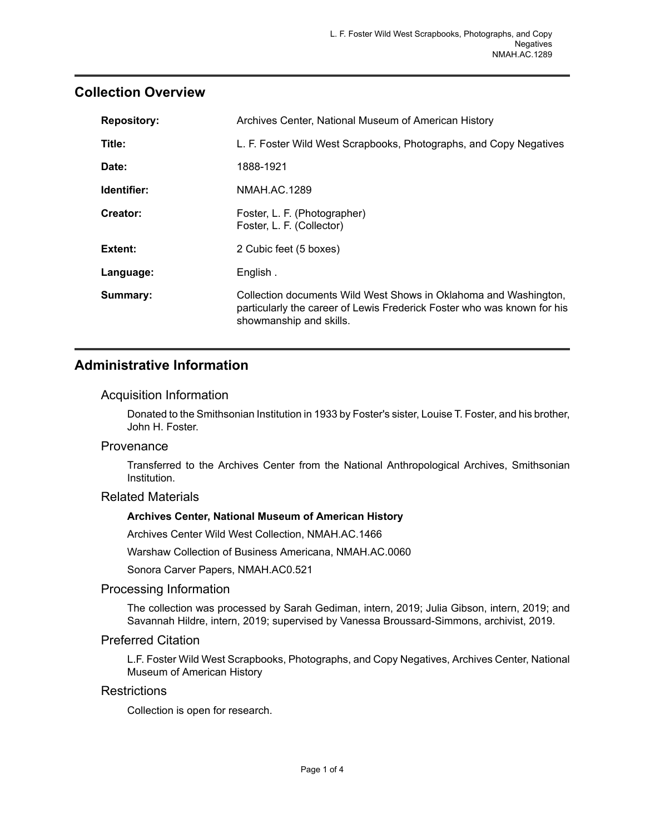## <span id="page-2-0"></span>**Collection Overview**

| <b>Repository:</b> | Archives Center, National Museum of American History                                                                                                                   |  |  |
|--------------------|------------------------------------------------------------------------------------------------------------------------------------------------------------------------|--|--|
| Title:             | L. F. Foster Wild West Scrapbooks, Photographs, and Copy Negatives                                                                                                     |  |  |
| Date:              | 1888-1921                                                                                                                                                              |  |  |
| Identifier:        | NMAH.AC.1289                                                                                                                                                           |  |  |
| Creator:           | Foster, L. F. (Photographer)<br>Foster, L. F. (Collector)                                                                                                              |  |  |
| Extent:            | 2 Cubic feet (5 boxes)                                                                                                                                                 |  |  |
| Language:          | English.                                                                                                                                                               |  |  |
| Summary:           | Collection documents Wild West Shows in Oklahoma and Washington,<br>particularly the career of Lewis Frederick Foster who was known for his<br>showmanship and skills. |  |  |

## <span id="page-2-1"></span>**Administrative Information**

#### Acquisition Information

Donated to the Smithsonian Institution in 1933 by Foster's sister, Louise T. Foster, and his brother, John H. Foster.

#### Provenance

Transferred to the Archives Center from the National Anthropological Archives, Smithsonian Institution.

#### Related Materials

#### **Archives Center, National Museum of American History**

Archives Center Wild West Collection, NMAH.AC.1466

Warshaw Collection of Business Americana, NMAH.AC.0060

Sonora Carver Papers, NMAH.AC0.521

#### Processing Information

The collection was processed by Sarah Gediman, intern, 2019; Julia Gibson, intern, 2019; and Savannah Hildre, intern, 2019; supervised by Vanessa Broussard-Simmons, archivist, 2019.

#### Preferred Citation

L.F. Foster Wild West Scrapbooks, Photographs, and Copy Negatives, Archives Center, National Museum of American History

#### **Restrictions**

Collection is open for research.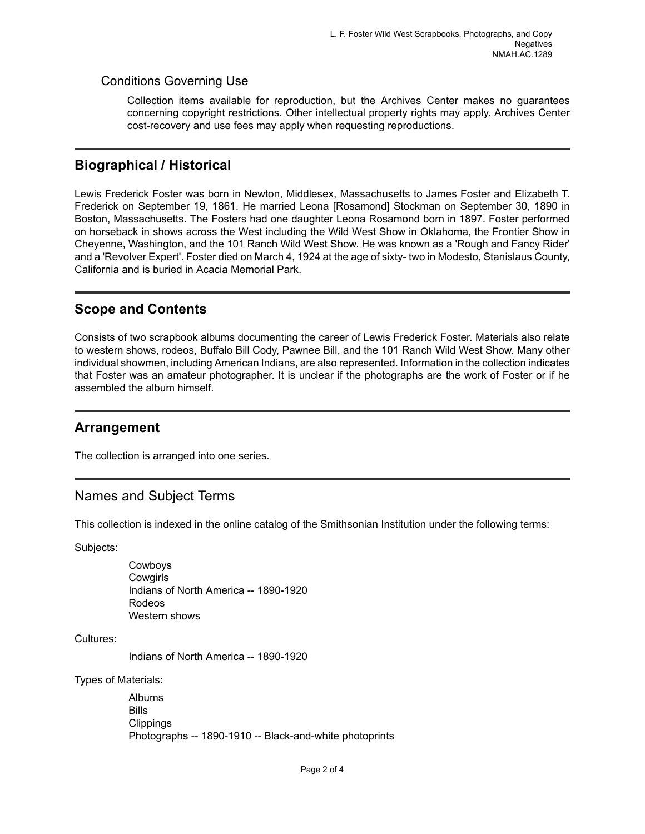### Conditions Governing Use

Collection items available for reproduction, but the Archives Center makes no guarantees concerning copyright restrictions. Other intellectual property rights may apply. Archives Center cost-recovery and use fees may apply when requesting reproductions.

## <span id="page-3-1"></span>**Biographical / Historical**

Lewis Frederick Foster was born in Newton, Middlesex, Massachusetts to James Foster and Elizabeth T. Frederick on September 19, 1861. He married Leona [Rosamond] Stockman on September 30, 1890 in Boston, Massachusetts. The Fosters had one daughter Leona Rosamond born in 1897. Foster performed on horseback in shows across the West including the Wild West Show in Oklahoma, the Frontier Show in Cheyenne, Washington, and the 101 Ranch Wild West Show. He was known as a 'Rough and Fancy Rider' and a 'Revolver Expert'. Foster died on March 4, 1924 at the age of sixty- two in Modesto, Stanislaus County, California and is buried in Acacia Memorial Park.

## <span id="page-3-0"></span>**Scope and Contents**

Consists of two scrapbook albums documenting the career of Lewis Frederick Foster. Materials also relate to western shows, rodeos, Buffalo Bill Cody, Pawnee Bill, and the 101 Ranch Wild West Show. Many other individual showmen, including American Indians, are also represented. Information in the collection indicates that Foster was an amateur photographer. It is unclear if the photographs are the work of Foster or if he assembled the album himself.

## <span id="page-3-2"></span>**Arrangement**

The collection is arranged into one series.

## <span id="page-3-3"></span>Names and Subject Terms

This collection is indexed in the online catalog of the Smithsonian Institution under the following terms:

Subjects:

Cowboys **Cowgirls** Indians of North America -- 1890-1920 Rodeos Western shows

Cultures:

Indians of North America -- 1890-1920

Types of Materials:

Albums Bills **Clippings** Photographs -- 1890-1910 -- Black-and-white photoprints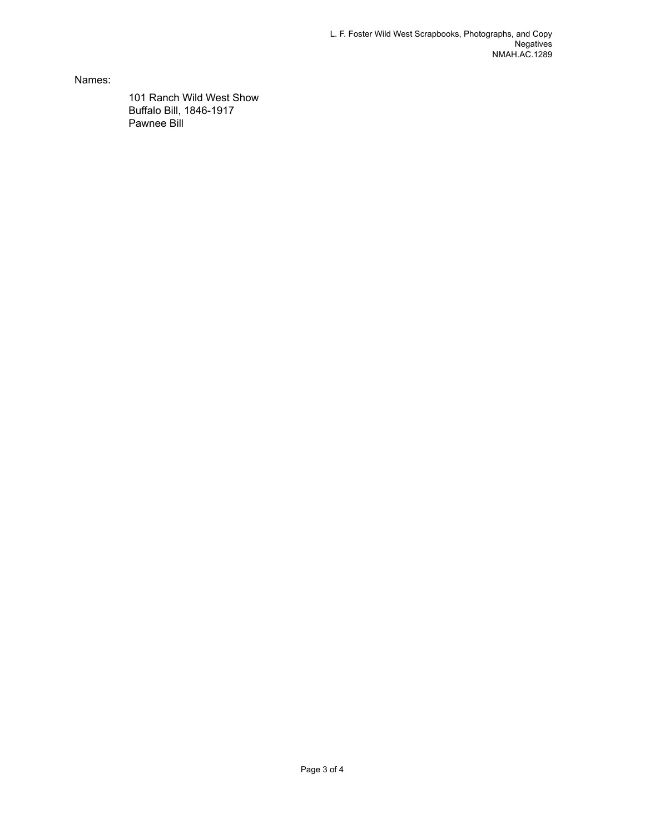Names:

101 Ranch Wild West Show Buffalo Bill, 1846-1917 Pawnee Bill